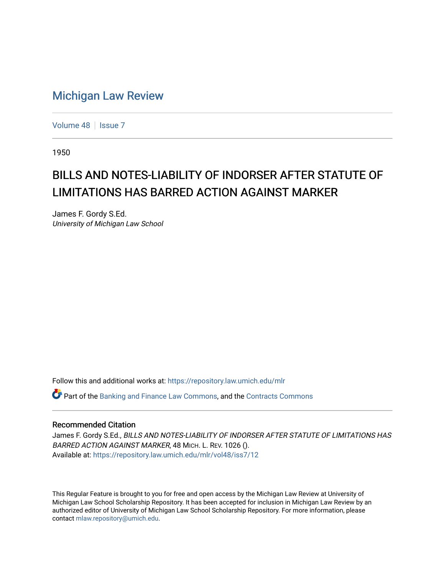## [Michigan Law Review](https://repository.law.umich.edu/mlr)

[Volume 48](https://repository.law.umich.edu/mlr/vol48) | [Issue 7](https://repository.law.umich.edu/mlr/vol48/iss7)

1950

## BILLS AND NOTES-LIABILITY OF INDORSER AFTER STATUTE OF LIMITATIONS HAS BARRED ACTION AGAINST MARKER

James F. Gordy S.Ed. University of Michigan Law School

Follow this and additional works at: [https://repository.law.umich.edu/mlr](https://repository.law.umich.edu/mlr?utm_source=repository.law.umich.edu%2Fmlr%2Fvol48%2Fiss7%2F12&utm_medium=PDF&utm_campaign=PDFCoverPages) 

 $\bullet$  Part of the [Banking and Finance Law Commons,](http://network.bepress.com/hgg/discipline/833?utm_source=repository.law.umich.edu%2Fmlr%2Fvol48%2Fiss7%2F12&utm_medium=PDF&utm_campaign=PDFCoverPages) and the Contracts Commons

## Recommended Citation

James F. Gordy S.Ed., BILLS AND NOTES-LIABILITY OF INDORSER AFTER STATUTE OF LIMITATIONS HAS BARRED ACTION AGAINST MARKER, 48 MICH. L. REV. 1026 (). Available at: [https://repository.law.umich.edu/mlr/vol48/iss7/12](https://repository.law.umich.edu/mlr/vol48/iss7/12?utm_source=repository.law.umich.edu%2Fmlr%2Fvol48%2Fiss7%2F12&utm_medium=PDF&utm_campaign=PDFCoverPages) 

This Regular Feature is brought to you for free and open access by the Michigan Law Review at University of Michigan Law School Scholarship Repository. It has been accepted for inclusion in Michigan Law Review by an authorized editor of University of Michigan Law School Scholarship Repository. For more information, please contact [mlaw.repository@umich.edu](mailto:mlaw.repository@umich.edu).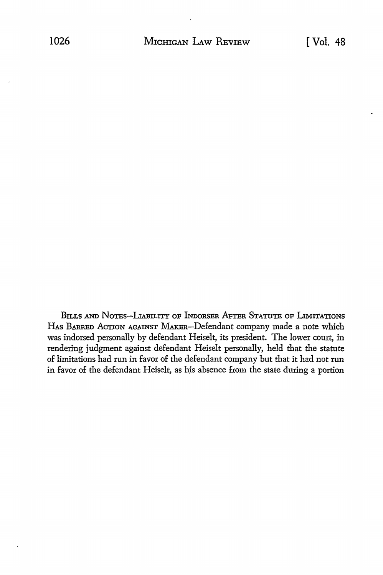BILLS AND NOTES-LIABILITY OF INDORSER AFTER STATUTE OF LIMITATIONS HAS BARRED ACTION AGAINST MAKER-Defendant company made a note which was indorsed personally by defendant Heiselt, its president. The lower court, in rendering judgment against defendant Heiselt personally, held that the statute of limitations had run in favor of the defendant company but that it had not run in favor of the defendant Heiselt, as his absence from the state during a portion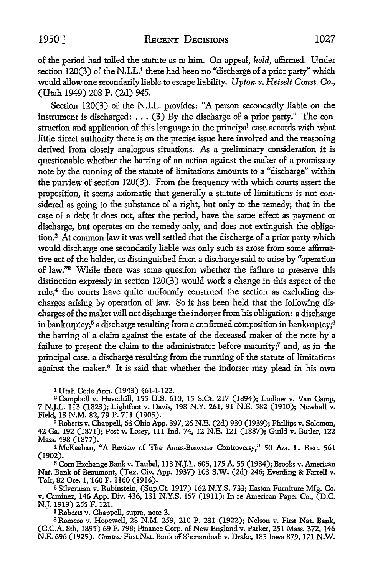of the period had tolled the statute as to him. On appeal, *held,* affinned. Under section  $120(3)$  of the N.I.L.<sup>1</sup> there had been no "discharge of a prior party" which would allow one secondarily liable to escape liability. *Upton v. Heiselt Const.* Co., (Utah 1949) 208 P. (2d) 945.

Section 120(3) of the N.I.L. provides: "A person secondarily liable on the instrument is discharged: ... (3) By the discharge of a prior party." The construction and application of this language in the principal case accords with what little direct authority there is on the precise issue here involved and the reasoning derived from closely analogous situations. As a preliminary consideration it is questionable whether the barring of an action against the maker of a promissory note by the running of the statute of limitations amounts to a "discharge" within the purview of section 120(3). From the frequency with which courts assert the proposition, it seems axiomatic that generally a statute of limitations is not considered as going to the substance of a right, but only to the remedy; that in the case of a debt it does not, after the period, have the same effect as payment or discharge, but operates on the remedy only, and does not extinguish the obligation.2 At common law it was well settled that the discharge of a prior party which would discharge one secondarily liable was only such as arose from some affirmative act of the holder, as distinguished from a discharge said to arise by "operation of law."8 While there was some question whether the failure to preserve this distinction expressly in section  $120(3)$  would work a change in this aspect of the rule,<sup>4</sup> the courts have quite uniformly construed the section as excluding discharges arising by operation of law. So it has been held that the following discharges of the maker will not discharge the indorser from his obligation: a discharge in bankruptcy;<sup>5</sup> a discharge resulting from a confirmed composition in bankruptcy;<sup>6</sup> the barring of a claim against the estate of the deceased maker of the note by a failure to present the claim to the administrator before maturity;<sup>7</sup> and, as in the principal case, a discharge resulting from the running of the statute of limitations against the maker.8 It is said that whether the indorser may plead in his own

1 Utah Code Ann. (1943) §61-1-122.

<sup>2</sup>Campbell v. Haverhill, 155 U.S. 610, 15 S.Ct. 217 (1894); Ludlow v. Van Camp, 7 N.J.L. 113 (1823); Lightfoot v. Davis, 198 N.Y. 261, 91 N.E. 582 (1910); Newhall v. Field, 13 N.M. 82, 79 P. 711 (1905).

s Roberts v. Chappell, 63 Ohio App. 397, 26 N.E. (2d) 930 (1939); Phillips v. Solomon, 42 Ga. 192 (1871); Post v. Losey, 111 Ind. 74, 12 N.E. 121 (1887); Guild v. Butler, 122 Mass. 498 (1877).

<sup>4</sup>McKeehan, "A Review of The Ames-Brewster Controversy," 50 AM. L. REc. 561 (1902).

15 Com Exchange Bank v. Taubel, 113 N.J.L. 605, 175 A. 55 (1934); Brooks v. American Nat. Bank of Beaumont, (Tex. Civ. App. 1937) 103 S.W. (2d) 246; Everding & Farrell v. Toft, 82 Ore. 1, '160 P. 1160 (1916).

6 Silverman v. Rubinstein, (Sup.Ct. 1917) 162 N.Y.S. 733; Easton Furniture Mfg. Co. v. Caminez, 146 App. Div. 436, 131 N.Y.S. 157 (1911); In re American Paper Co., (D.C. N.J. 1919) 255 F. 121.

7 Roberts v. Chappell, supra, note 3.

s Romero v. Hopewell, 28 N.M. 259, 210 P. 231 (1922); Nelson v. First Nat. Bank, (C.C.A. 8th, 1895) 69 F. 798; Finance Corp. of New England v. Parker, 251 Mass. 372, 146 N.E. 696 (1925). *Contra:* First Nat. Bank of Shenandoah v. Drake, 185 Iowa 879, 171 N.W.